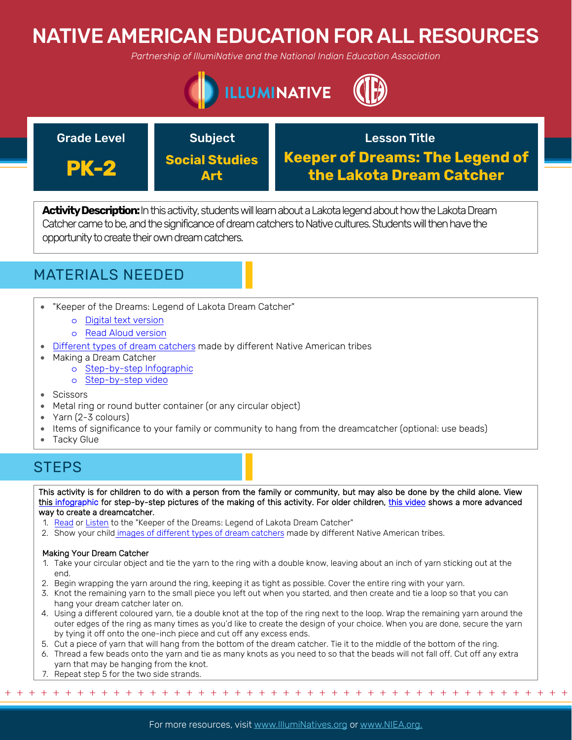# NATIVE AMERICAN EDUCATION FOR ALL RESOURCES

*Partnership of IllumiNative and the National Indian Education Association*





**Activity Description:**In this activity, students will learn about a Lakota legend about how the Lakota Dream Catcher came to be, and the significance of dream catchers to Native cultures. Students will then have the opportunity to create their own dream catchers.



- "Keeper of the Dreams: Legend of Lakota Dream Catcher"
	- o [Digital text version](http://aktalakota.stjo.org/site/News2?page=NewsArticle&id=8820)
	- o [Read Aloud version](https://www.youtube.com/watch?v=UVfpPvBEy7c)
- [Different types of dream catchers](http://www.native-languages.org/dreamcatchers.htm) made by different Native American tribes
- Making a Dream Catcher
	- o [Step-by-step Infographic](https://urbanmoms.ca/life/diy-kid-friendly-dream-catcher/)
	- o [Step-by-step video](https://www.youtube.com/watch?v=PGpiHzxooTo)
- **Scissors**
- Metal ring or round butter container (or any circular object)
- Yarn (2-3 colours)
- Items of significance to your family or community to hang from the dreamcatcher (optional: use beads)
- **Tacky Glue**

### STEPS

This activity is for children to do with a person from the family or community, but may also be done by the child alone. View this [infographic](https://urbanmoms.ca/life/diy-kid-friendly-dream-catcher/) for step-by-step pictures of the making of this activity. For older children, [this video](https://www.youtube.com/watch?v=PGpiHzxooTo) shows a more advanced way to create a dreamcatcher.

- 1. [Read](http://aktalakota.stjo.org/site/News2?page=NewsArticle&id=8820) or [Listen](https://www.youtube.com/watch?v=UVfpPvBEy7c) to the "Keeper of the Dreams: Legend of Lakota Dream Catcher"
- 2. Show your child i[mages of different types of dream catchers](http://www.native-languages.org/dreamcatchers.htm) made by different Native American tribes.

#### Making Your Dream Catcher

- 1. Take your circular object and tie the yarn to the ring with a double know, leaving about an inch of yarn sticking out at the end.
- 2. Begin wrapping the yarn around the ring, keeping it as tight as possible. Cover the entire ring with your yarn.
- 3. Knot the remaining yarn to the small piece you left out when you started, and then create and tie a loop so that you can hang your dream catcher later on.
- 4. Using a different coloured yarn, tie a double knot at the top of the ring next to the loop. Wrap the remaining yarn around the outer edges of the ring as many times as you'd like to create the design of your choice. When you are done, secure the yarn by tying it off onto the one-inch piece and cut off any excess ends.
- 5. Cut a piece of yarn that will hang from the bottom of the dream catcher. Tie it to the middle of the bottom of the ring.
- 6. Thread a few beads onto the yarn and tie as many knots as you need to so that the beads will not fall off. Cut off any extra yarn that may be hanging from the knot.
- 7. Repeat step 5 for the two side strands.

+ + + + + + + + + + + + + + + + + + + + + + + + + + + + + + + + + + + + + + + + + + + + + + + +